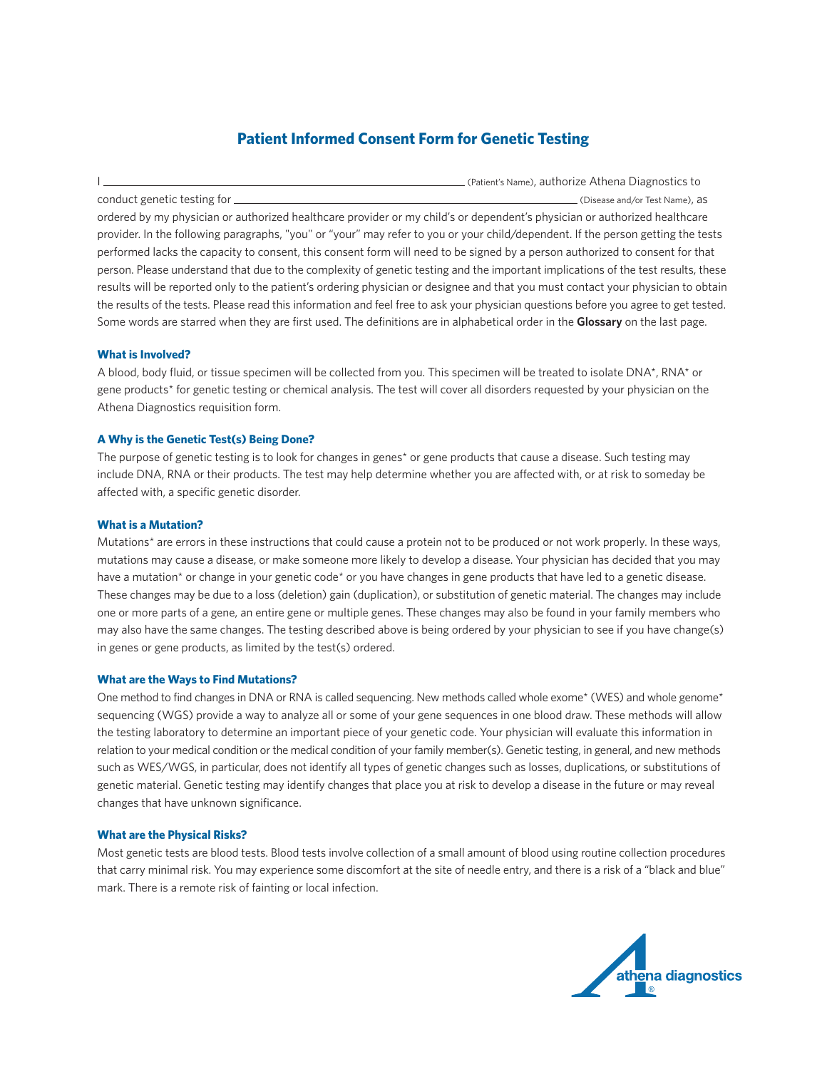# **Patient Informed Consent Form for Genetic Testing**

I (Patient's Name), authorize Athena Diagnostics to conduct genetic testing for  $\Box$ ordered by my physician or authorized healthcare provider or my child's or dependent's physician or authorized healthcare provider. In the following paragraphs, "you" or "your" may refer to you or your child/dependent. If the person getting the tests performed lacks the capacity to consent, this consent form will need to be signed by a person authorized to consent for that person. Please understand that due to the complexity of genetic testing and the important implications of the test results, these results will be reported only to the patient's ordering physician or designee and that you must contact your physician to obtain the results of the tests. Please read this information and feel free to ask your physician questions before you agree to get tested. Some words are starred when they are first used. The definitions are in alphabetical order in the **Glossary** on the last page.

# **What is Involved?**

A blood, body fluid, or tissue specimen will be collected from you. This specimen will be treated to isolate DNA\*, RNA\* or gene products\* for genetic testing or chemical analysis. The test will cover all disorders requested by your physician on the Athena Diagnostics requisition form.

# **A Why is the Genetic Test(s) Being Done?**

The purpose of genetic testing is to look for changes in genes\* or gene products that cause a disease. Such testing may include DNA, RNA or their products. The test may help determine whether you are affected with, or at risk to someday be affected with, a specific genetic disorder.

#### **What is a Mutation?**

Mutations\* are errors in these instructions that could cause a protein not to be produced or not work properly. In these ways, mutations may cause a disease, or make someone more likely to develop a disease. Your physician has decided that you may have a mutation<sup>\*</sup> or change in your genetic code<sup>\*</sup> or you have changes in gene products that have led to a genetic disease. These changes may be due to a loss (deletion) gain (duplication), or substitution of genetic material. The changes may include one or more parts of a gene, an entire gene or multiple genes. These changes may also be found in your family members who may also have the same changes. The testing described above is being ordered by your physician to see if you have change(s) in genes or gene products, as limited by the test(s) ordered.

#### **What are the Ways to Find Mutations?**

One method to find changes in DNA or RNA is called sequencing. New methods called whole exome\* (WES) and whole genome\* sequencing (WGS) provide a way to analyze all or some of your gene sequences in one blood draw. These methods will allow the testing laboratory to determine an important piece of your genetic code. Your physician will evaluate this information in relation to your medical condition or the medical condition of your family member(s). Genetic testing, in general, and new methods such as WES/WGS, in particular, does not identify all types of genetic changes such as losses, duplications, or substitutions of genetic material. Genetic testing may identify changes that place you at risk to develop a disease in the future or may reveal changes that have unknown significance.

#### **What are the Physical Risks?**

Most genetic tests are blood tests. Blood tests involve collection of a small amount of blood using routine collection procedures that carry minimal risk. You may experience some discomfort at the site of needle entry, and there is a risk of a "black and blue" mark. There is a remote risk of fainting or local infection.

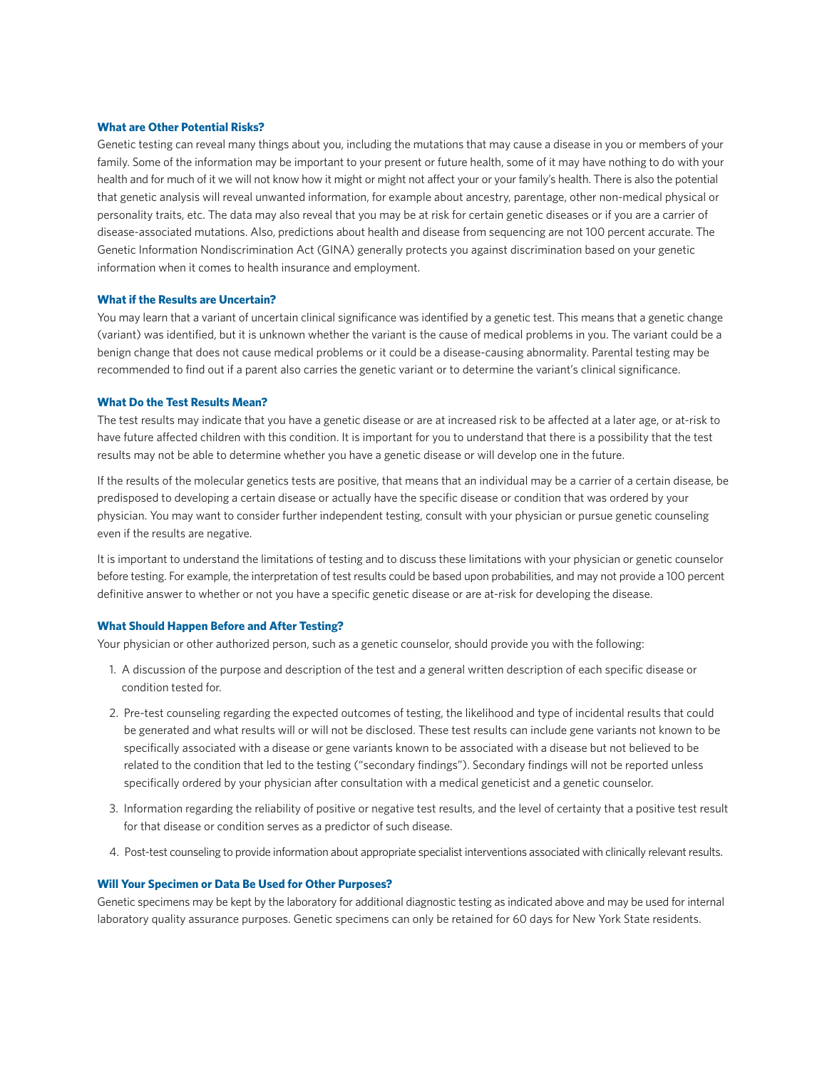## **What are Other Potential Risks?**

Genetic testing can reveal many things about you, including the mutations that may cause a disease in you or members of your family. Some of the information may be important to your present or future health, some of it may have nothing to do with your health and for much of it we will not know how it might or might not affect your or your family's health. There is also the potential that genetic analysis will reveal unwanted information, for example about ancestry, parentage, other non-medical physical or personality traits, etc. The data may also reveal that you may be at risk for certain genetic diseases or if you are a carrier of disease-associated mutations. Also, predictions about health and disease from sequencing are not 100 percent accurate. The Genetic Information Nondiscrimination Act (GINA) generally protects you against discrimination based on your genetic information when it comes to health insurance and employment.

## **What if the Results are Uncertain?**

You may learn that a variant of uncertain clinical significance was identified by a genetic test. This means that a genetic change (variant) was identified, but it is unknown whether the variant is the cause of medical problems in you. The variant could be a benign change that does not cause medical problems or it could be a disease-causing abnormality. Parental testing may be recommended to find out if a parent also carries the genetic variant or to determine the variant's clinical significance.

## **What Do the Test Results Mean?**

The test results may indicate that you have a genetic disease or are at increased risk to be affected at a later age, or at-risk to have future affected children with this condition. It is important for you to understand that there is a possibility that the test results may not be able to determine whether you have a genetic disease or will develop one in the future.

If the results of the molecular genetics tests are positive, that means that an individual may be a carrier of a certain disease, be predisposed to developing a certain disease or actually have the specific disease or condition that was ordered by your physician. You may want to consider further independent testing, consult with your physician or pursue genetic counseling even if the results are negative.

It is important to understand the limitations of testing and to discuss these limitations with your physician or genetic counselor before testing. For example, the interpretation of test results could be based upon probabilities, and may not provide a 100 percent definitive answer to whether or not you have a specific genetic disease or are at-risk for developing the disease.

#### **What Should Happen Before and After Testing?**

Your physician or other authorized person, such as a genetic counselor, should provide you with the following:

- 1. A discussion of the purpose and description of the test and a general written description of each specific disease or condition tested for.
- 2. Pre-test counseling regarding the expected outcomes of testing, the likelihood and type of incidental results that could be generated and what results will or will not be disclosed. These test results can include gene variants not known to be specifically associated with a disease or gene variants known to be associated with a disease but not believed to be related to the condition that led to the testing ("secondary findings"). Secondary findings will not be reported unless specifically ordered by your physician after consultation with a medical geneticist and a genetic counselor.
- 3. Information regarding the reliability of positive or negative test results, and the level of certainty that a positive test result for that disease or condition serves as a predictor of such disease.
- 4. Post-test counseling to provide information about appropriate specialist interventions associated with clinically relevant results.

# **Will Your Specimen or Data Be Used for Other Purposes?**

Genetic specimens may be kept by the laboratory for additional diagnostic testing as indicated above and may be used for internal laboratory quality assurance purposes. Genetic specimens can only be retained for 60 days for New York State residents.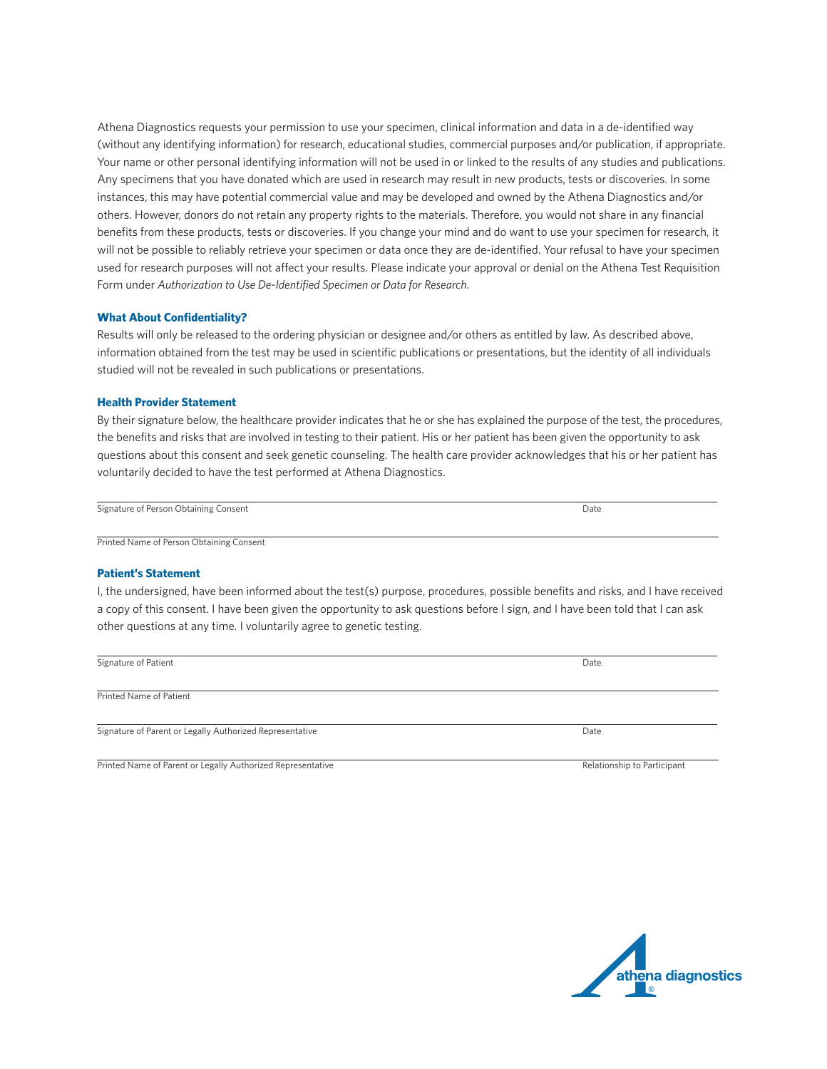Athena Diagnostics requests your permission to use your specimen, clinical information and data in a de-identified way (without any identifying information) for research, educational studies, commercial purposes and/or publication, if appropriate. Your name or other personal identifying information will not be used in or linked to the results of any studies and publications. Any specimens that you have donated which are used in research may result in new products, tests or discoveries. In some instances, this may have potential commercial value and may be developed and owned by the Athena Diagnostics and/or others. However, donors do not retain any property rights to the materials. Therefore, you would not share in any financial benefits from these products, tests or discoveries. If you change your mind and do want to use your specimen for research, it will not be possible to reliably retrieve your specimen or data once they are de-identified. Your refusal to have your specimen used for research purposes will not affect your results. Please indicate your approval or denial on the Athena Test Requisition Form under *Authorization to Use De-Identified Specimen or Data for Research*.

# **What About Confidentiality?**

Results will only be released to the ordering physician or designee and/or others as entitled by law. As described above, information obtained from the test may be used in scientific publications or presentations, but the identity of all individuals studied will not be revealed in such publications or presentations.

## **Health Provider Statement**

By their signature below, the healthcare provider indicates that he or she has explained the purpose of the test, the procedures, the benefits and risks that are involved in testing to their patient. His or her patient has been given the opportunity to ask questions about this consent and seek genetic counseling. The health care provider acknowledges that his or her patient has voluntarily decided to have the test performed at Athena Diagnostics.

| Signature of Person Obtaining Consent | Date |
|---------------------------------------|------|
|                                       |      |

Printed Name of Person Obtaining Consent

#### **Patient's Statement**

I, the undersigned, have been informed about the test(s) purpose, procedures, possible benefits and risks, and I have received a copy of this consent. I have been given the opportunity to ask questions before I sign, and I have been told that I can ask other questions at any time. I voluntarily agree to genetic testing.

| Signature of Patient                                     | Date |
|----------------------------------------------------------|------|
|                                                          |      |
| Printed Name of Patient                                  |      |
|                                                          |      |
| Signature of Parent or Legally Authorized Representative | Date |
|                                                          |      |

Printed Name of Parent or Legally Authorized Representative Relationship to Participant